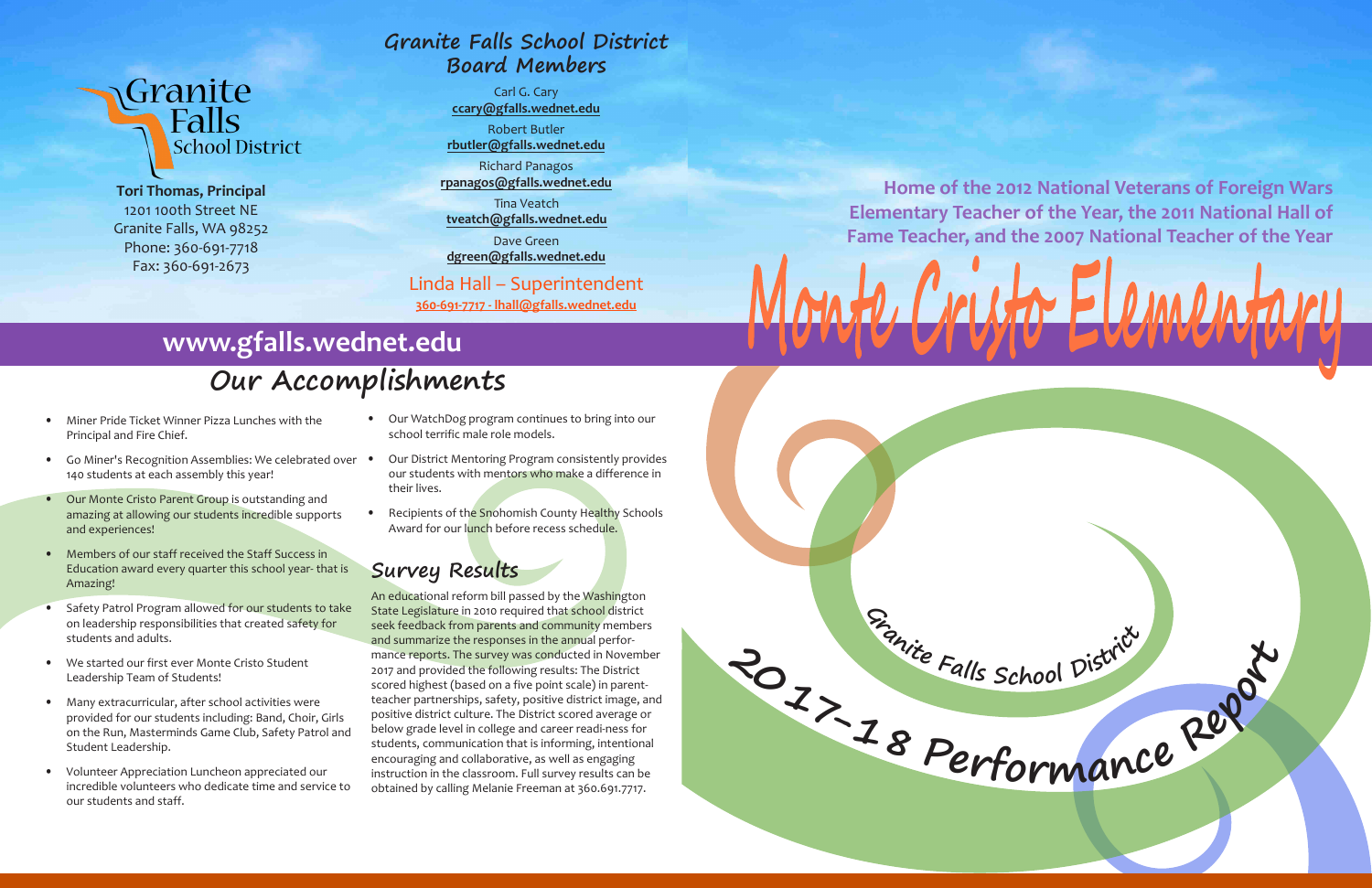

**<sup>G</sup>ranit<sup>e</sup> <sup>F</sup>all<sup>s</sup> <sup>S</sup>cho<sup>o</sup><sup>l</sup> <sup>D</sup>istric<sup>t</sup>**

**Tori Thomas, Principal** 1201 100th Street NE Granite Falls, WA 98252 Phone: 360-691-7718 Fax: 360-691-2673

Granite<br>Ralls

**School District** 

• Miner Pride Ticket Winner Pizza Lunches with the Principal and Fire Chief.

- Go Miner's Recognition Assemblies: We celebrated over . 140 students at each assembly this year!
- Our Monte Cristo Parent Group is outstanding and amazing at allowing our students incredible supports and experiences!
- Members of our staff received the Staff Success in Education award every quarter this school year- that is Amazing!
- Safety Patrol Program allowed for our students to take on leadership responsibilities that created safety for students and adults.
- We started our first ever Monte Cristo Student Leadership Team of Students!
- Many extracurricular, after school activities were provided for our students including: Band, Choir, Girls on the Run, Masterminds Game Club, Safety Patrol and Student Leadership.
- Volunteer Appreciation Luncheon appreciated our incredible volunteers who dedicate time and service to our students and staff.

# **Our Accomplishments**

# **www.gfalls.wednet.edu**

- Our WatchDog program continues to bring into our school terrific male role models.
- Our District Mentoring Program consistently provides our students with mentors who make a difference in their lives.
- Recipients of the Snohomish County Healthy Schools Award for our lunch before recess schedule.

**Home of the 2012 National Veterans of Foreign Wars Elementary Teacher of the Year, the 2011 National Hall of Fame Teacher, and the 2007 National Teacher of the Year**

# **Survey Results**

An educational reform bill passed by the Washington State Legislature in 2010 required that school district seek feedback from parents and community members and summarize the responses in the annual performance reports. The survey was conducted in November 2017 and provided the following results: The District scored highest (based on a five point scale) in parentteacher partnerships, safety, positive district image, and positive district culture. The District scored average or below grade level in college and career readi-ness for students, communication that is informing, intentional encouraging and collaborative, as well as engaging instruction in the classroom. Full survey results can be obtained by calling Melanie Freeman at 360.691.7717.

# **Granite Falls School District Board Members**

Carl G. Cary **ccary@gfalls.wednet.edu**

Robert Butler **rbutler@gfalls.wednet.edu**

Richard Panagos **rpanagos@gfalls.wednet.edu**

Tina Veatch **tveatch@gfalls.wednet.edu**

Dave Green **dgreen@gfalls.wednet.edu**

## Linda Hall – Superintendent

**360-691-7717 - lhall@gfalls.wednet.edu**